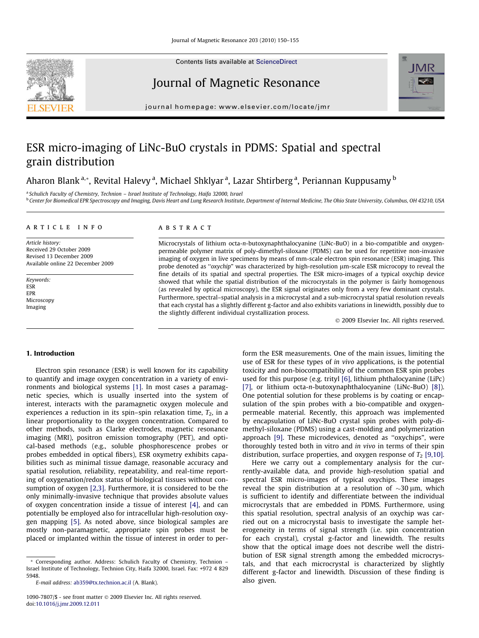Contents lists available at [ScienceDirect](http://www.sciencedirect.com/science/journal/10907807)

# Journal of Magnetic Resonance

journal homepage: [www.elsevier.com/locate/jmr](http://www.elsevier.com/locate/jmr)

# ESR micro-imaging of LiNc-BuO crystals in PDMS: Spatial and spectral grain distribution

## Aharon Blank<sup>a,</sup>\*, Revital Halevy <sup>a</sup>, Michael Shklyar <sup>a</sup>, Lazar Shtirberg <sup>a</sup>, Periannan Kuppusamy <sup>b</sup>

<sup>a</sup> Schulich Faculty of Chemistry, Technion – Israel Institute of Technology, Haifa 32000, Israel <sup>b</sup> Center for Biomedical EPR Spectroscopy and Imaging, Davis Heart and Lung Research Institute, Department of Internal Medicine, The Ohio State University, Columbus, OH 43210, USA

#### article info

Article history: Received 29 October 2009 Revised 13 December 2009 Available online 22 December 2009

Keywords: ESR EPR Microscopy Imaging

#### ABSTRACT

Microcrystals of lithium octa-n-butoxynaphthalocyanine (LiNc-BuO) in a bio-compatible and oxygenpermeable polymer matrix of poly-dimethyl-siloxane (PDMS) can be used for repetitive non-invasive imaging of oxygen in live specimens by means of mm-scale electron spin resonance (ESR) imaging. This probe denoted as "oxychip" was characterized by high-resolution  $\mu$ m-scale ESR microcopy to reveal the fine details of its spatial and spectral properties. The ESR micro-images of a typical oxychip device showed that while the spatial distribution of the microcrystals in the polymer is fairly homogenous (as revealed by optical microscopy), the ESR signal originates only from a very few dominant crystals. Furthermore, spectral–spatial analysis in a microcrystal and a sub-microcrystal spatial resolution reveals that each crystal has a slightly different g-factor and also exhibits variations in linewidth, possibly due to the slightly different individual crystallization process.

© 2009 Elsevier Inc. All rights reserved.

## 1. Introduction

Electron spin resonance (ESR) is well known for its capability to quantify and image oxygen concentration in a variety of environments and biological systems [\[1\].](#page-5-0) In most cases a paramagnetic species, which is usually inserted into the system of interest, interacts with the paramagnetic oxygen molecule and experiences a reduction in its spin–spin relaxation time,  $T_2$ , in a linear proportionality to the oxygen concentration. Compared to other methods, such as Clarke electrodes, magnetic resonance imaging (MRI), positron emission tomography (PET), and optical-based methods (e.g., soluble phosphorescence probes or probes embedded in optical fibers), ESR oxymetry exhibits capabilities such as minimal tissue damage, reasonable accuracy and spatial resolution, reliability, repeatability, and real-time reporting of oxygenation/redox status of biological tissues without consumption of oxygen [\[2,3\].](#page-5-0) Furthermore, it is considered to be the only minimally-invasive technique that provides absolute values of oxygen concentration inside a tissue of interest [\[4\],](#page-5-0) and can potentially be employed also for intracellular high-resolution oxygen mapping [\[5\].](#page-5-0) As noted above, since biological samples are mostly non-paramagnetic, appropriate spin probes must be placed or implanted within the tissue of interest in order to per-

\* Corresponding author. Address: Schulich Faculty of Chemistry, Technion – Israel Institute of Technology, Technion City, Haifa 32000, Israel. Fax: +972 4 829 5948.

form the ESR measurements. One of the main issues, limiting the use of ESR for these types of in vivo applications, is the potential toxicity and non-biocompatibility of the common ESR spin probes used for this purpose (e.g. trityl [\[6\],](#page-5-0) lithium phthalocyanine (LiPc) [\[7\]](#page-5-0), or lithium octa-n-butoxynaphthalocyanine (LiNc-BuO) [\[8\]\)](#page-5-0). One potential solution for these problems is by coating or encapsulation of the spin probes with a bio-compatible and oxygenpermeable material. Recently, this approach was implemented by encapsulation of LiNc-BuO crystal spin probes with poly-dimethyl-siloxane (PDMS) using a cast-molding and polymerization approach [\[9\].](#page-5-0) These microdevices, denoted as ''oxychips", were thoroughly tested both in vitro and in vivo in terms of their spin distribution, surface properties, and oxygen response of  $T_2$  [\[9,10\].](#page-5-0)

Here we carry out a complementary analysis for the currently-available data, and provide high-resolution spatial and spectral ESR micro-images of typical oxychips. These images reveal the spin distribution at a resolution of  $\sim$ 30  $\mu$ m, which is sufficient to identify and differentiate between the individual microcrystals that are embedded in PDMS. Furthermore, using this spatial resolution, spectral analysis of an oxychip was carried out on a microcrystal basis to investigate the sample heterogeneity in terms of signal strength (i.e. spin concentration for each crystal), crystal g-factor and linewidth. The results show that the optical image does not describe well the distribution of ESR signal strength among the embedded microcrystals, and that each microcrystal is characterized by slightly different g-factor and linewidth. Discussion of these finding is also given.





E-mail address: [ab359@tx.technion.ac.il](mailto:ab359@tx.technion.ac.il) (A. Blank).

<sup>1090-7807/\$ -</sup> see front matter © 2009 Elsevier Inc. All rights reserved. doi:[10.1016/j.jmr.2009.12.011](http://dx.doi.org/10.1016/j.jmr.2009.12.011)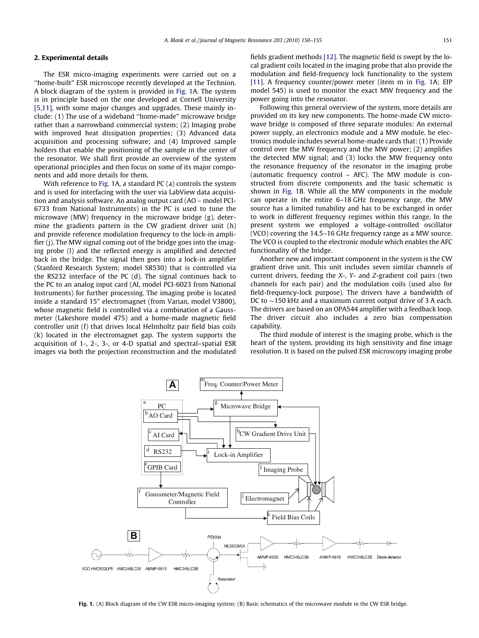## 2. Experimental details

The ESR micro-imaging experiments were carried out on a ''home-built" ESR microscope recently developed at the Technion. A block diagram of the system is provided in Fig. 1A. The system is in principle based on the one developed at Cornell University [\[5,11\],](#page-5-0) with some major changes and upgrades. These mainly include: (1) The use of a wideband ''home-made" microwave bridge rather than a narrowband commercial system; (2) Imaging probe with improved heat dissipation properties; (3) Advanced data acquisition and processing software; and (4) Improved sample holders that enable the positioning of the sample in the center of the resonator. We shall first provide an overview of the system operational principles and then focus on some of its major components and add more details for them.

With reference to Fig. 1A, a standard PC (a) controls the system and is used for interfacing with the user via LabView data acquisition and analysis software. An analog output card (AO – model PCI-6733 from National Instruments) in the PC is used to tune the microwave (MW) frequency in the microwave bridge (g), determine the gradients pattern in the CW gradient driver unit (h) and provide reference modulation frequency to the lock-in amplifier (j). The MW signal coming out of the bridge goes into the imaging probe (l) and the reflected energy is amplified and detected back in the bridge. The signal then goes into a lock-in amplifier (Stanford Research System; model SR530) that is controlled via the RS232 interface of the PC (d). The signal continues back to the PC to an analog input card (AI, model PCI-6023 from National Instruments) for further processing. The imaging probe is located inside a standard 15" electromagnet (from Varian, model V3800), whose magnetic field is controlled via a combination of a Gaussmeter (Lakeshore model 475) and a home-made magnetic field controller unit (f) that drives local Helmholtz pair field bias coils (k) located in the electromagnet gap. The system supports the acquisition of 1-, 2-, 3-, or 4-D spatial and spectral–spatial ESR images via both the projection reconstruction and the modulated fields gradient methods [\[12\]](#page-5-0). The magnetic field is swept by the local gradient coils located in the imaging probe that also provide the modulation and field-frequency lock functionality to the system [\[11\]](#page-5-0). A frequency counter/power meter (item m in Fig. 1A; EIP model 545) is used to monitor the exact MW frequency and the power going into the resonator.

Following this general overview of the system, more details are provided on its key new components. The home-made CW microwave bridge is composed of three separate modules: An external power supply, an electronics module and a MW module. he electronics module includes several home-made cards that: (1) Provide control over the MW frequency and the MW power; (2) amplifies the detected MW signal; and (3) locks the MW frequency onto the resonance frequency of the resonator in the imaging probe (automatic frequency control – AFC). The MW module is constructed from discrete components and the basic schematic is shown in Fig. 1B. While all the MW components in the module can operate in the entire 6–18 GHz frequency range, the MW source has a limited tunability and has to be exchanged in order to work in different frequency regimes within this range. In the present system we employed a voltage-controlled oscillator (VCO) covering the 14.5–16 GHz frequency range as a MW source. The VCO is coupled to the electronic module which enables the AFC functionality of the bridge.

Another new and important component in the system is the CW gradient drive unit. This unit includes seven similar channels of current drivers, feeding the X-, Y- and Z-gradient coil pairs (two channels for each pair) and the modulation coils (used also for field-frequency-lock purpose). The drivers have a bandwidth of DC to  $\sim$ 150 kHz and a maximum current output drive of 3 A each. The drivers are based on an OPA544 amplifier with a feedback loop. The driver circuit also includes a zero bias compensation capability.

The third module of interest is the imaging probe, which is the heart of the system, providing its high sensitivity and fine image resolution. It is based on the pulsed ESR microscopy imaging probe



Fig. 1. (A) Block diagram of the CW ESR micro-imaging system; (B) Basic schematics of the microwave module in the CW ESR bridge.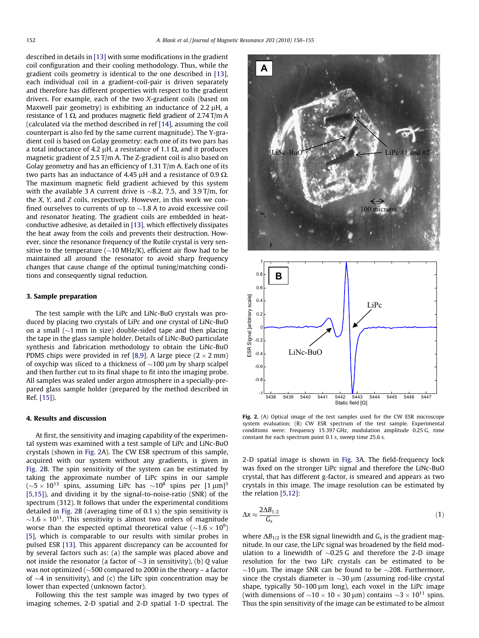<span id="page-2-0"></span>described in details in [\[13\]](#page-5-0) with some modifications in the gradient coil configuration and their cooling methodology. Thus, while the gradient coils geometry is identical to the one described in [\[13\],](#page-5-0) each individual coil in a gradient-coil-pair is driven separately and therefore has different properties with respect to the gradient drivers. For example, each of the two X-gradient coils (based on Maxwell pair geometry) is exhibiting an inductance of  $2.2 \mu$ H, a resistance of 1  $\Omega$ , and produces magnetic field gradient of 2.74 T/m·A (calculated via the method described in ref [\[14\]](#page-5-0), assuming the coil counterpart is also fed by the same current magnitude). The Y-gradient coil is based on Golay geometry: each one of its two pars has a total inductance of 4.2  $\mu$ H, a resistance of 1.1  $\Omega$ , and it produces magnetic gradient of 2.5 T/m·A. The Z-gradient coil is also based on Golay geometry and has an efficiency of 1.31 T/m $\cdot$ A. Each one of its two parts has an inductance of 4.45  $\mu$ H and a resistance of 0.9  $\Omega$ . The maximum magnetic field gradient achieved by this system with the available 3 A current drive is  ${\sim}8.2,~7.5,$  and 3.9 T/m, for the X, Y, and Z coils, respectively. However, in this work we confined ourselves to currents of up to  ${\sim}$ 1.8 A to avoid excessive coil and resonator heating. The gradient coils are embedded in heatconductive adhesive, as detailed in [\[13\]](#page-5-0), which effectively dissipates the heat away from the coils and prevents their destruction. However, since the resonance frequency of the Rutile crystal is very sensitive to the temperature ( ${\sim}$ 10 MHz/K), efficient air flow had to be maintained all around the resonator to avoid sharp frequency changes that cause change of the optimal tuning/matching conditions and consequently signal reduction.

## 3. Sample preparation

The test sample with the LiPc and LiNc-BuO crystals was produced by placing two crystals of LiPc and one crystal of LiNc-BuO on a small ( ${\sim}1$  mm in size) double-sided tape and then placing the tape in the glass sample holder. Details of LiNc-BuO particulate synthesis and fabrication methodology to obtain the LiNc-BuO PDMS chips were provided in ref [\[8,9\].](#page-5-0) A large piece ( $2 \times 2$  mm) of oxychip was sliced to a thickness of  ${\sim}100\,\mu\mathrm{m}$  by sharp scalpel and then further cut to its final shape to fit into the imaging probe. All samples was sealed under argon atmosphere in a specially-prepared glass sample holder (prepared by the method described in Ref. [\[15\]\)](#page-5-0).

#### 4. Results and discussion

At first, the sensitivity and imaging capability of the experimental system was examined with a test sample of LiPc and LiNc-BuO crystals (shown in Fig. 2A). The CW ESR spectrum of this sample, acquired with our system without any gradients, is given in Fig. 2B. The spin sensitivity of the system can be estimated by taking the approximate number of LiPc spins in our sample ( $\sim$ 5  $\times$  10 $^{13}$  spins, assuming LiPc has  $\sim$ 10 $^{8}$  spins per [1  $\upmu$ m] $^{3}$ [\[5,15\]\)](#page-5-0), and dividing it by the signal-to-noise-ratio (SNR) of the spectrum (312). It follows that under the experimental conditions detailed in Fig. 2B (averaging time of 0.1 s) the spin sensitivity is  ${\sim}1.6 \times 10^{11}$ . This sensitivity is almost two orders of magnitude worse than the expected optimal theoretical value  $({\sim}1.6\times10^9)$ [\[5\]](#page-5-0), which is comparable to our results with similar probes in pulsed ESR [\[13\]](#page-5-0). This apparent discrepancy can be accounted for by several factors such as: (a) the sample was placed above and not inside the resonator (a factor of  ${\sim}3$  in sensitivity), (b) Q value was not optimized ( $\sim$ 500 compared to 2000 in the theory – a factor of  ${\sim}4$  in sensitivity), and (c) the LiPc spin concentration may be lower than expected (unknown factor).

Following this the test sample was imaged by two types of imaging schemes, 2-D spatial and 2-D spatial 1-D spectral. The



Fig. 2. (A) Optical image of the test samples used for the CW ESR microscope system evaluation; (B) CW ESR spectrum of the test sample. Experimental conditions were: Frequency 15.397 GHz, modulation amplitude 0.25 G, time constant for each spectrum point 0.1 s, sweep time 25.6 s.

2-D spatial image is shown in [Fig. 3](#page-3-0)A. The field-frequency lock was fixed on the stronger LiPc signal and therefore the LiNc-BuO crystal, that has different g-factor, is smeared and appears as two crystals in this image. The image resolution can be estimated by the relation [\[5,12\]:](#page-5-0)

$$
\Delta x \approx \frac{2\Delta B_{1/2}}{G_x} \tag{1}
$$

where  $\Delta B_{1/2}$  is the ESR signal linewidth and  $G_x$  is the gradient magnitude. In our case, the LiPc signal was broadened by the field modulation to a linewidth of  $\sim 0.25$  G and therefore the 2-D image resolution for the two LiPc crystals can be estimated to be  $\sim$ 10 µm. The image SNR can be found to be  $\sim$ 208. Furthermore, since the crystals diameter is  $\sim$ 30  $\mu$ m (assuming rod-like crystal shape, typically  $50-100 \mu m$  long), each voxel in the LiPc image (with dimensions of  $\sim$ 10  $\times$  10  $\times$  30  $\mu$ m) contains  $\sim$ 3  $\times$  10<sup>11</sup> spins. Thus the spin sensitivity of the image can be estimated to be almost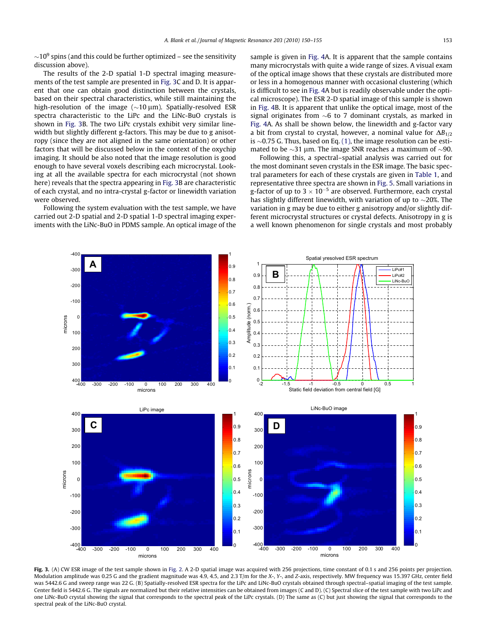<span id="page-3-0"></span> ${\sim}10^9$  spins (and this could be further optimized – see the sensitivity discussion above).

The results of the 2-D spatial 1-D spectral imaging measurements of the test sample are presented in Fig. 3C and D. It is apparent that one can obtain good distinction between the crystals, based on their spectral characteristics, while still maintaining the high-resolution of the image  $(\sim 10 \,\mu m)$ . Spatially-resolved ESR spectra characteristic to the LiPc and the LiNc-BuO crystals is shown in Fig. 3B. The two LiPc crystals exhibit very similar linewidth but slightly different g-factors. This may be due to g anisotropy (since they are not aligned in the same orientation) or other factors that will be discussed below in the context of the oxychip imaging. It should be also noted that the image resolution is good enough to have several voxels describing each microcrystal. Looking at all the available spectra for each microcrystal (not shown here) reveals that the spectra appearing in Fig. 3B are characteristic of each crystal, and no intra-crystal g-factor or linewidth variation were observed.

Following the system evaluation with the test sample, we have carried out 2-D spatial and 2-D spatial 1-D spectral imaging experiments with the LiNc-BuO in PDMS sample. An optical image of the sample is given in [Fig. 4](#page-4-0)A. It is apparent that the sample contains many microcrystals with quite a wide range of sizes. A visual exam of the optical image shows that these crystals are distributed more or less in a homogenous manner with occasional clustering (which is difficult to see in [Fig. 4](#page-4-0)A but is readily observable under the optical microscope). The ESR 2-D spatial image of this sample is shown in [Fig. 4B](#page-4-0). It is apparent that unlike the optical image, most of the signal originates from  $\sim$ 6 to 7 dominant crystals, as marked in [Fig. 4](#page-4-0)A. As shall be shown below, the linewidth and g-factor vary a bit from crystal to crystal, however, a nominal value for  $\Delta B_{1/2}$ is  ${\sim}0.75$  G. Thus, based on Eq. [\(1\),](#page-2-0) the image resolution can be estimated to be  $\sim$ 31 µm. The image SNR reaches a maximum of  $\sim$ 90.

Following this, a spectral–spatial analysis was carried out for the most dominant seven crystals in the ESR image. The basic spectral parameters for each of these crystals are given in [Table 1](#page-4-0), and representative three spectra are shown in [Fig. 5.](#page-4-0) Small variations in g-factor of up to  $3 \times 10^{-5}$  are observed. Furthermore, each crystal has slightly different linewidth, with variation of up to  ${\sim}20\%$ . The variation in g may be due to either g anisotropy and/or slightly different microcrystal structures or crystal defects. Anisotropy in g is a well known phenomenon for single crystals and most probably



Fig. 3. (A) CW ESR image of the test sample shown in [Fig. 2](#page-2-0). A 2-D spatial image was acquired with 256 projections, time constant of 0.1 s and 256 points per projection. Modulation amplitude was 0.25 G and the gradient magnitude was 4.9, 4.5, and 2.3 T/m for the X-, Y-, and Z-axis, respectively. MW frequency was 15.397 GHz, center field was 5442.6 G and sweep range was 22 G. (B) Spatially-resolved ESR spectra for the LiPc and LiNc-BuO crystals obtained through spectral–spatial imaging of the test sample. Center field is 5442.6 G. The signals are normalized but their relative intensities can be obtained from images (C and D). (C) Spectral slice of the test sample with two LiPc and one LiNc-BuO crystal showing the signal that corresponds to the spectral peak of the LiPc crystals. (D) The same as (C) but just showing the signal that corresponds to the spectral peak of the LiNc-BuO crystal.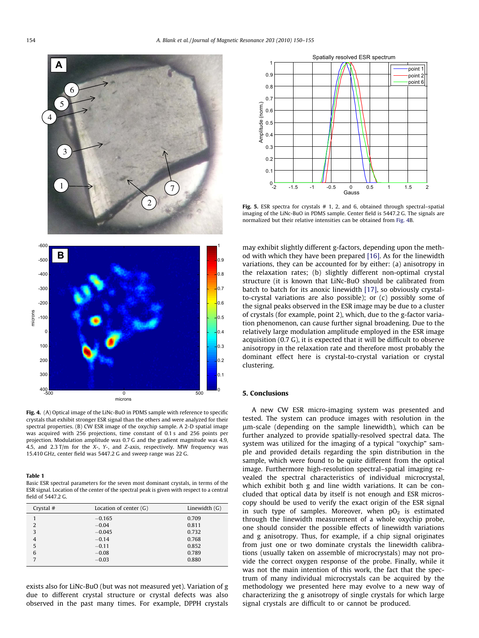<span id="page-4-0"></span>

Fig. 4. (A) Optical image of the LiNc-BuO in PDMS sample with reference to specific crystals that exhibit stronger ESR signal than the others and were analyzed for their spectral properties. (B) CW ESR image of the oxychip sample. A 2-D spatial image was acquired with 256 projections, time constant of 0.1 s and 256 points per projection. Modulation amplitude was 0.7 G and the gradient magnitude was 4.9, 4.5, and 2.3 T/m for the X-, Y-, and Z-axis, respectively. MW frequency was 15.410 GHz, center field was 5447.2 G and sweep range was 22 G.

#### Table 1

Basic ESR spectral parameters for the seven most dominant crystals, in terms of the ESR signal. Location of the center of the spectral peak is given with respect to a central field of 5447.2 G.

| Crystal #      | Location of center $(G)$ | Linewidth $(G)$ |
|----------------|--------------------------|-----------------|
|                | $-0.165$                 | 0.709           |
| 2              | $-0.04$                  | 0.811           |
| 3              | $-0.045$                 | 0.732           |
| $\overline{4}$ | $-0.14$                  | 0.768           |
| 5              | $-0.11$                  | 0.852           |
| 6              | $-0.08$                  | 0.789           |
| 7              | $-0.03$                  | 0.880           |

exists also for LiNc-BuO (but was not measured yet). Variation of g due to different crystal structure or crystal defects was also observed in the past many times. For example, DPPH crystals



Fig. 5. ESR spectra for crystals  $# 1, 2$ , and 6, obtained through spectral–spatial imaging of the LiNc-BuO in PDMS sample. Center field is 5447.2 G. The signals are normalized but their relative intensities can be obtained from Fig. 4B.

may exhibit slightly different g-factors, depending upon the method with which they have been prepared [\[16\]](#page-5-0). As for the linewidth variations, they can be accounted for by either: (a) anisotropy in the relaxation rates; (b) slightly different non-optimal crystal structure (it is known that LiNc-BuO should be calibrated from batch to batch for its anoxic linewidth [\[17\],](#page-5-0) so obviously crystalto-crystal variations are also possible); or (c) possibly some of the signal peaks observed in the ESR image may be due to a cluster of crystals (for example, point 2), which, due to the g-factor variation phenomenon, can cause further signal broadening. Due to the relatively large modulation amplitude employed in the ESR image acquisition (0.7 G), it is expected that it will be difficult to observe anisotropy in the relaxation rate and therefore most probably the dominant effect here is crystal-to-crystal variation or crystal clustering.

## 5. Conclusions

A new CW ESR micro-imaging system was presented and tested. The system can produce images with resolution in the lm-scale (depending on the sample linewidth), which can be further analyzed to provide spatially-resolved spectral data. The system was utilized for the imaging of a typical ''oxychip" sample and provided details regarding the spin distribution in the sample, which were found to be quite different from the optical image. Furthermore high-resolution spectral–spatial imaging revealed the spectral characteristics of individual microcrystal, which exhibit both g and line width variations. It can be concluded that optical data by itself is not enough and ESR microscopy should be used to verify the exact origin of the ESR signal in such type of samples. Moreover, when  $pO<sub>2</sub>$  is estimated through the linewidth measurement of a whole oxychip probe, one should consider the possible effects of linewidth variations and g anisotropy. Thus, for example, if a chip signal originates from just one or two dominate crystals the linewidth calibrations (usually taken on assemble of microcrystals) may not provide the correct oxygen response of the probe. Finally, while it was not the main intention of this work, the fact that the spectrum of many individual microcrystals can be acquired by the methodology we presented here may evolve to a new way of characterizing the g anisotropy of single crystals for which large signal crystals are difficult to or cannot be produced.